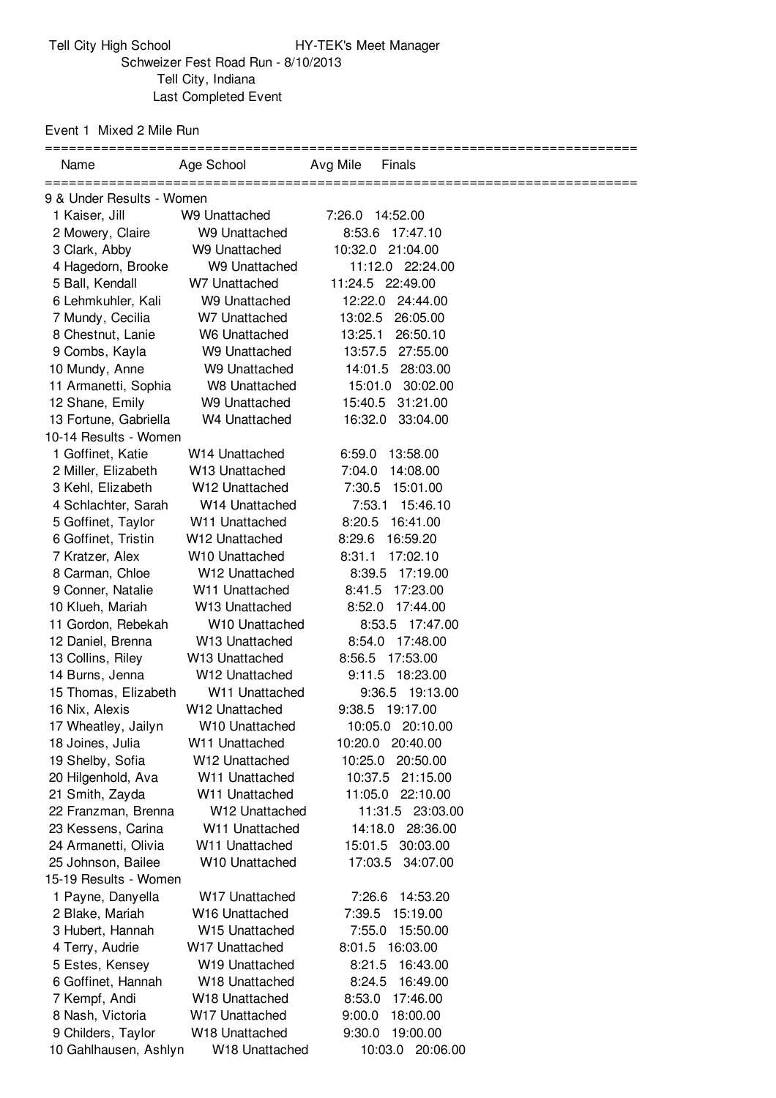Event 1 Mixed 2 Mile Run

| Avg Mile<br>Finals                       |
|------------------------------------------|
|                                          |
| 7:26.0<br>14:52.00                       |
| 8:53.6<br>17:47.10                       |
| 10:32.0 21:04.00                         |
| 11:12.0 22:24.00                         |
| 11:24.5 22:49.00                         |
| 12:22.0 24:44.00                         |
| 13:02.5<br>26:05.00                      |
| 26:50.10<br>13:25.1                      |
| 27:55.00<br>13:57.5                      |
| 14:01.5<br>28:03.00                      |
| 15:01.0<br>30:02.00                      |
| 15:40.5 31:21.00                         |
| 16:32.0<br>33:04.00                      |
|                                          |
| 6:59.0<br>13:58.00                       |
| 7:04.0<br>14:08.00                       |
| 7:30.5<br>15:01.00                       |
| 7:53.1<br>15:46.10                       |
| 8:20.5 16:41.00                          |
| 8:29.6<br>16:59.20                       |
| 8:31.1<br>17:02.10                       |
| 8:39.5<br>17:19.00                       |
| 8:41.5<br>17:23.00                       |
| 8:52.0<br>17:44.00                       |
| 8:53.5 17:47.00                          |
| 17:48.00<br>8:54.0                       |
| 17:53.00<br>8:56.5                       |
| 9:11.5 18:23.00                          |
| 9:36.5<br>19:13.00                       |
| 9:38.5 19:17.00                          |
| 10:05.0 20:10.00                         |
| 10:20.0 20:40.00                         |
| 10:25.0<br>20:50.00                      |
| 10:37.5<br>21:15.00                      |
| 11:05.0<br>22:10.00                      |
| 11:31.5 23:03.00                         |
| 14:18.0<br>28:36.00                      |
| 30:03.00<br>15:01.5                      |
| 17:03.5<br>34:07.00                      |
|                                          |
| 7:26.6<br>14:53.20                       |
| 7:39.5<br>15:19.00                       |
| 7:55.0<br>15:50.00<br>8:01.5<br>16:03.00 |
|                                          |
| 8:21.5<br>16:43.00<br>8:24.5<br>16:49.00 |
| 8:53.0<br>17:46.00                       |
| 9:00.0<br>18:00.00                       |
| 19:00.00<br>9:30.0                       |
| 10:03.0 20:06.00                         |
|                                          |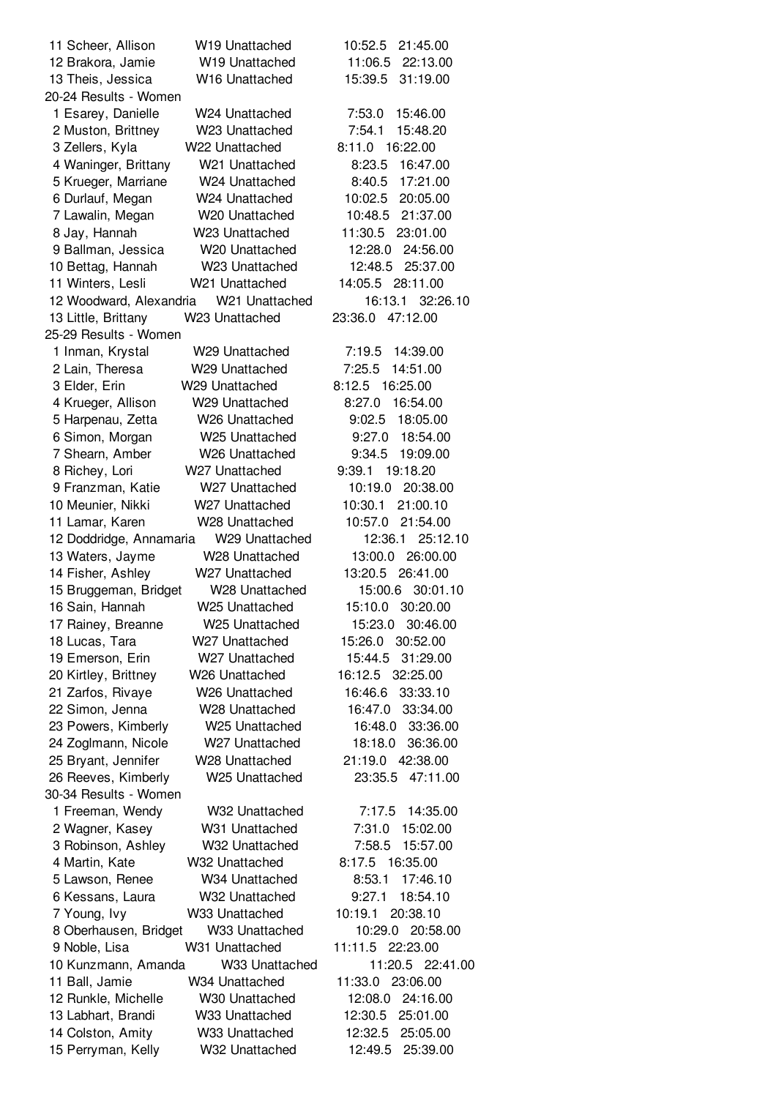| 11 Scheer, Allison                         | W <sub>19</sub> Unattached                   | 10:52.5<br>21:45.00                     |
|--------------------------------------------|----------------------------------------------|-----------------------------------------|
| 12 Brakora, Jamie                          | W19 Unattached                               | 22:13.00<br>11:06.5                     |
| 13 Theis, Jessica                          | W16 Unattached                               | 15:39.5<br>31:19.00                     |
| 20-24 Results - Women                      |                                              |                                         |
| 1 Esarey, Danielle                         | W24 Unattached                               | 7:53.0<br>15:46.00                      |
| 2 Muston, Brittney                         | W23 Unattached                               | 7:54.1<br>15:48.20                      |
| 3 Zellers, Kyla                            | W22 Unattached                               | 8:11.0 16:22.00                         |
| 4 Waninger, Brittany                       | W21 Unattached                               | 8:23.5<br>16:47.00                      |
| 5 Krueger, Marriane                        | W24 Unattached                               | 17:21.00<br>8:40.5                      |
| 6 Durlauf, Megan                           | W24 Unattached                               | 20:05.00<br>10:02.5                     |
| 7 Lawalin, Megan                           | W20 Unattached                               | 21:37.00<br>10:48.5                     |
| 8 Jay, Hannah                              | W23 Unattached                               | 11:30.5<br>23:01.00                     |
| 9 Ballman, Jessica                         | W20 Unattached                               | 12:28.0<br>24:56.00                     |
| 10 Bettag, Hannah                          | W23 Unattached                               | 12:48.5<br>25:37.00                     |
| 11 Winters, Lesli                          | W21 Unattached                               | 14:05.5 28:11.00                        |
| 12 Woodward, Alexandria                    | W <sub>21</sub> Unattached                   | 16:13.1<br>32:26.10                     |
| 13 Little, Brittany                        | W23 Unattached                               | 23:36.0<br>47:12.00                     |
| 25-29 Results - Women                      |                                              |                                         |
| 1 Inman, Krystal                           | W29 Unattached                               | 7:19.5<br>14:39.00                      |
| 2 Lain, Theresa                            | W29 Unattached                               | 14:51.00<br>7:25.5                      |
| 3 Elder, Erin                              | W29 Unattached                               | 8:12.5<br>16:25.00                      |
| 4 Krueger, Allison                         | W29 Unattached                               | 16:54.00<br>8:27.0                      |
| 5 Harpenau, Zetta                          | W26 Unattached                               | 9:02.5<br>18:05.00                      |
| 6 Simon, Morgan                            | W25 Unattached                               | 9:27.0<br>18:54.00                      |
| 7 Shearn, Amber                            | W26 Unattached                               | 9:34.5<br>19:09.00                      |
| 8 Richey, Lori                             | W27 Unattached                               | 9:39.1<br>19:18.20                      |
| 9 Franzman, Katie                          | W <sub>27</sub> Unattached                   | 10:19.0<br>20:38.00                     |
| 10 Meunier, Nikki                          | W27 Unattached                               | 10:30.1<br>21:00.10                     |
| 11 Lamar, Karen                            | W28 Unattached                               | 10:57.0<br>21:54.00                     |
| 12 Doddridge, Annamaria                    | W29 Unattached                               | 25:12.10<br>12:36.1                     |
| 13 Waters, Jayme                           | W28 Unattached                               | 13:00.0 26:00.00                        |
| 14 Fisher, Ashley                          | W27 Unattached                               | 13:20.5<br>26:41.00                     |
| 15 Bruggeman, Bridget                      | W28 Unattached                               | 15:00.6<br>30:01.10                     |
| 16 Sain, Hannah                            | W25 Unattached                               | 15:10.0<br>30:20.00                     |
| 17 Rainey, Breanne                         | W25 Unattached                               | 15:23.0 30:46.00                        |
| 18 Lucas, Tara                             | W27 Unattached                               | 30:52.00<br>15:26.0                     |
| 19 Emerson, Erin                           | W27 Unattached                               | 15:44.5<br>31:29.00<br>16:12.5 32:25.00 |
| 20 Kirtley, Brittney                       | W <sub>26</sub> Unattached                   | 16:46.6                                 |
| 21 Zarfos, Rivaye                          | W <sub>26</sub> Unattached<br>W28 Unattached | 33:33.10<br>16:47.0<br>33:34.00         |
| 22 Simon, Jenna                            | W25 Unattached                               | 16:48.0<br>33:36.00                     |
| 23 Powers, Kimberly<br>24 Zoglmann, Nicole | W27 Unattached                               | 18:18.0<br>36:36.00                     |
| 25 Bryant, Jennifer                        | W28 Unattached                               | 21:19.0<br>42:38.00                     |
| 26 Reeves, Kimberly                        | W25 Unattached                               | 23:35.5<br>47:11.00                     |
| 30-34 Results - Women                      |                                              |                                         |
| 1 Freeman, Wendy                           | W32 Unattached                               | 7:17.5<br>14:35.00                      |
| 2 Wagner, Kasey                            | W31 Unattached                               | 7:31.0<br>15:02.00                      |
| 3 Robinson, Ashley                         | W32 Unattached                               | 7:58.5<br>15:57.00                      |
| 4 Martin, Kate                             | W32 Unattached                               | 8:17.5<br>16:35.00                      |
| 5 Lawson, Renee                            | W34 Unattached                               | 17:46.10<br>8:53.1                      |
| 6 Kessans, Laura                           | W32 Unattached                               | 18:54.10<br>9:27.1                      |
| 7 Young, Ivy                               | W33 Unattached                               | 10:19.1<br>20:38.10                     |
| 8 Oberhausen, Bridget                      | W33 Unattached                               | 10:29.0<br>20:58.00                     |
| 9 Noble, Lisa                              | W31 Unattached                               | 11:11.5 22:23.00                        |
| 10 Kunzmann, Amanda                        | W33 Unattached                               | 11:20.5 22:41.00                        |
| 11 Ball, Jamie                             | W34 Unattached                               | 11:33.0<br>23:06.00                     |
| 12 Runkle, Michelle                        | W30 Unattached                               | 12:08.0<br>24:16.00                     |
| 13 Labhart, Brandi                         | W33 Unattached                               | 25:01.00<br>12:30.5                     |
| 14 Colston, Amity                          | W33 Unattached                               | 12:32.5<br>25:05.00                     |
| 15 Perryman, Kelly                         | W32 Unattached                               | 12:49.5<br>25:39.00                     |
|                                            |                                              |                                         |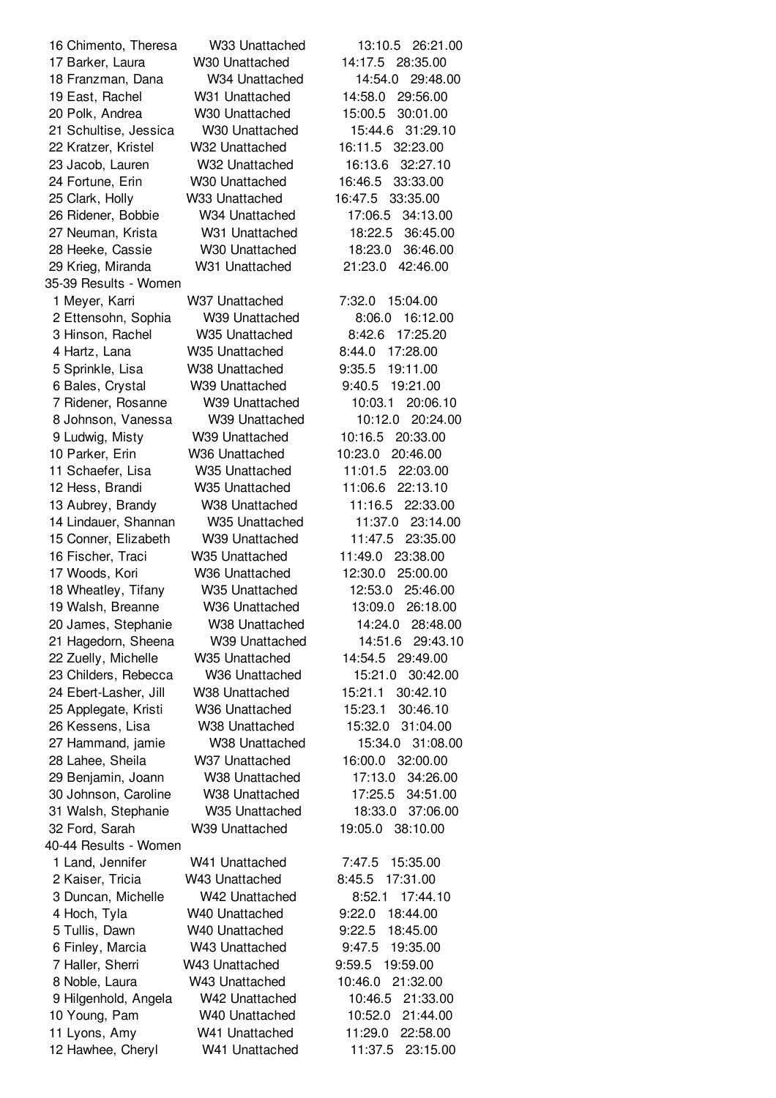35-39 Results - Women 40-44 Results - Women

 Chimento, Theresa W33 Unattached 13:10.5 26:21.00 Barker, Laura W30 Unattached 14:17.5 28:35.00 Franzman, Dana W34 Unattached 14:54.0 29:48.00 East, Rachel W31 Unattached 14:58.0 29:56.00 Polk, Andrea W30 Unattached 15:00.5 30:01.00 Schultise, Jessica W30 Unattached 15:44.6 31:29.10 Kratzer, Kristel W32 Unattached 16:11.5 32:23.00 Jacob, Lauren W32 Unattached 16:13.6 32:27.10 Fortune, Erin W30 Unattached 16:46.5 33:33.00 Clark, Holly W33 Unattached 16:47.5 33:35.00 Ridener, Bobbie W34 Unattached 17:06.5 34:13.00 Neuman, Krista W31 Unattached 18:22.5 36:45.00 Heeke, Cassie W30 Unattached 18:23.0 36:46.00 Krieg, Miranda W31 Unattached 21:23.0 42:46.00 Meyer, Karri W37 Unattached 7:32.0 15:04.00 Ettensohn, Sophia W39 Unattached 8:06.0 16:12.00 Hinson, Rachel W35 Unattached 8:42.6 17:25.20 Hartz, Lana W35 Unattached 8:44.0 17:28.00 Sprinkle, Lisa W38 Unattached 9:35.5 19:11.00 Bales, Crystal W39 Unattached 9:40.5 19:21.00 Ridener, Rosanne W39 Unattached 10:03.1 20:06.10 Johnson, Vanessa W39 Unattached 10:12.0 20:24.00 Ludwig, Misty W39 Unattached 10:16.5 20:33.00 Parker, Erin W36 Unattached 10:23.0 20:46.00 Schaefer, Lisa W35 Unattached 11:01.5 22:03.00 Hess, Brandi W35 Unattached 11:06.6 22:13.10 Aubrey, Brandy W38 Unattached 11:16.5 22:33.00 Lindauer, Shannan W35 Unattached 11:37.0 23:14.00 Conner, Elizabeth W39 Unattached 11:47.5 23:35.00 Fischer, Traci W35 Unattached 11:49.0 23:38.00 Woods, Kori W36 Unattached 12:30.0 25:00.00 Wheatley, Tifany W35 Unattached 12:53.0 25:46.00 Walsh, Breanne W36 Unattached 13:09.0 26:18.00 James, Stephanie W38 Unattached 14:24.0 28:48.00 Hagedorn, Sheena W39 Unattached 14:51.6 29:43.10 Zuelly, Michelle W35 Unattached 14:54.5 29:49.00 Childers, Rebecca W36 Unattached 15:21.0 30:42.00 Ebert-Lasher, Jill W38 Unattached 15:21.1 30:42.10 Applegate, Kristi W36 Unattached 15:23.1 30:46.10 Kessens, Lisa W38 Unattached 15:32.0 31:04.00 Hammand, jamie W38 Unattached 15:34.0 31:08.00 Lahee, Sheila W37 Unattached 16:00.0 32:00.00 Benjamin, Joann W38 Unattached 17:13.0 34:26.00 Johnson, Caroline W38 Unattached 17:25.5 34:51.00 Walsh, Stephanie W35 Unattached 18:33.0 37:06.00 Ford, Sarah W39 Unattached 19:05.0 38:10.00 Land, Jennifer W41 Unattached 7:47.5 15:35.00 Kaiser, Tricia W43 Unattached 8:45.5 17:31.00 Duncan, Michelle W42 Unattached 8:52.1 17:44.10 Hoch, Tyla W40 Unattached 9:22.0 18:44.00 Tullis, Dawn W40 Unattached 9:22.5 18:45.00 Finley, Marcia W43 Unattached 9:47.5 19:35.00 Haller, Sherri W43 Unattached 9:59.5 19:59.00 Noble, Laura W43 Unattached 10:46.0 21:32.00 Hilgenhold, Angela W42 Unattached 10:46.5 21:33.00 Young, Pam W40 Unattached 10:52.0 21:44.00 Lyons, Amy W41 Unattached 11:29.0 22:58.00 Hawhee, Cheryl W41 Unattached 11:37.5 23:15.00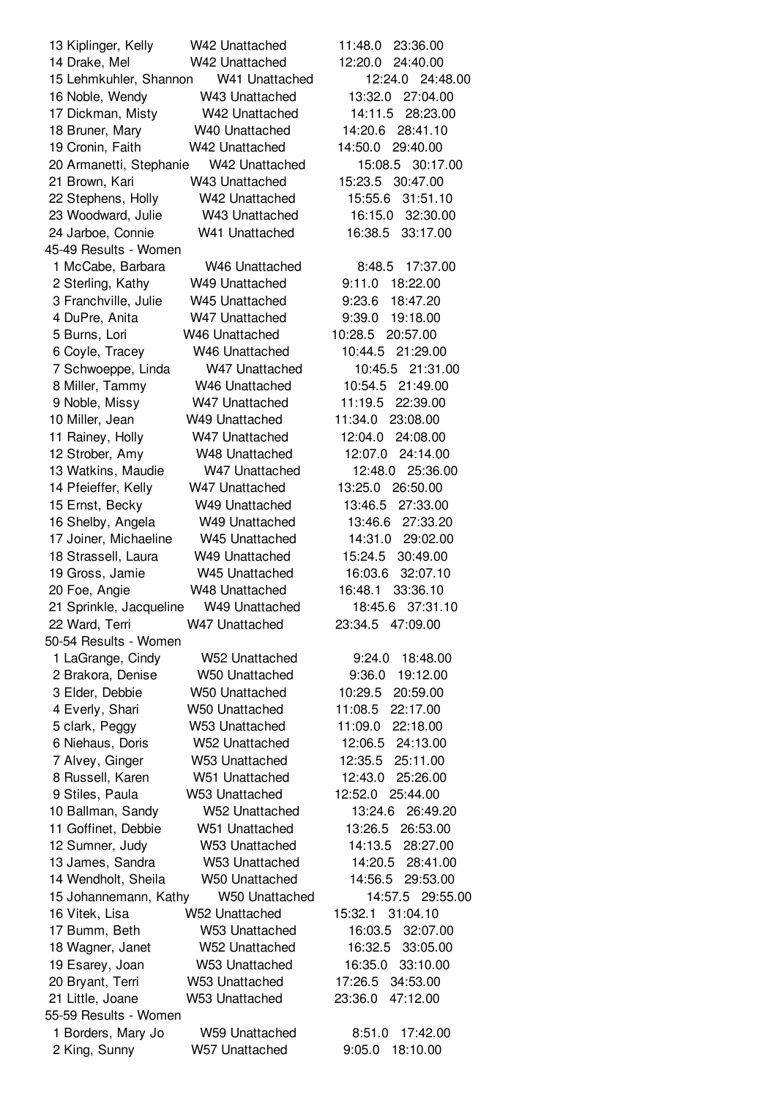| 13 Kiplinger, Kelly     | W42 Unattached             | 11:48.0<br>23:36.00 |
|-------------------------|----------------------------|---------------------|
| 14 Drake, Mel           | W42 Unattached             | 12:20.0<br>24:40.00 |
| 15 Lehmkuhler, Shannon  | W41 Unattached             | 24:48.00<br>12:24.0 |
| 16 Noble, Wendy         | W43 Unattached             | 27:04.00<br>13:32.0 |
| 17 Dickman, Misty       | W42 Unattached             | 14:11.5<br>28:23.00 |
| 18 Bruner, Mary         | W40 Unattached             | 14:20.6<br>28:41.10 |
| 19 Cronin, Faith        | W42 Unattached             | 14:50.0<br>29:40.00 |
| 20 Armanetti, Stephanie | W42 Unattached             | 30:17.00<br>15:08.5 |
| 21 Brown, Kari          | W43 Unattached             | 30:47.00<br>15:23.5 |
| 22 Stephens, Holly      | W42 Unattached             | 15:55.6<br>31:51.10 |
| 23 Woodward, Julie      | W43 Unattached             | 32:30.00<br>16:15.0 |
| 24 Jarboe, Connie       | W41 Unattached             | 33:17.00<br>16:38.5 |
| 45-49 Results - Women   |                            |                     |
| 1 McCabe, Barbara       | W <sub>46</sub> Unattached | 17:37.00<br>8:48.5  |
|                         | W49 Unattached             | 9:11.0<br>18:22.00  |
| 2 Sterling, Kathy       |                            |                     |
| 3 Franchville, Julie    | W45 Unattached             | 18:47.20<br>9:23.6  |
| 4 DuPre, Anita          | W47 Unattached             | 9:39.0<br>19:18.00  |
| 5 Burns, Lori           | W46 Unattached             | 20:57.00<br>10:28.5 |
| 6 Coyle, Tracey         | W46 Unattached             | 10:44.5<br>21:29.00 |
| 7 Schwoeppe, Linda      | W47 Unattached             | 21:31.00<br>10:45.5 |
| 8 Miller, Tammy         | W46 Unattached             | 10:54.5<br>21:49.00 |
| 9 Noble, Missy          | W47 Unattached             | 11:19.5<br>22:39.00 |
| 10 Miller, Jean         | W49 Unattached             | 11:34.0<br>23:08.00 |
| 11 Rainey, Holly        | W47 Unattached             | 24:08.00<br>12:04.0 |
| 12 Strober, Amy         | W48 Unattached             | 12:07.0<br>24:14.00 |
| 13 Watkins, Maudie      | W47 Unattached             | 12:48.0<br>25:36.00 |
| 14 Pfeieffer, Kelly     | W47 Unattached             | 13:25.0<br>26:50.00 |
| 15 Ernst, Becky         | W49 Unattached             | 13:46.5<br>27:33.00 |
| 16 Shelby, Angela       | W49 Unattached             | 27:33.20<br>13:46.6 |
| 17 Joiner, Michaeline   | W45 Unattached             | 14:31.0<br>29:02.00 |
| 18 Strassell, Laura     | W49 Unattached             | 15:24.5<br>30:49.00 |
| 19 Gross, Jamie         | W45 Unattached             | 32:07.10<br>16:03.6 |
| 20 Foe, Angie           | W48 Unattached             | 16:48.1<br>33:36.10 |
| 21 Sprinkle, Jacqueline | W49 Unattached             | 37:31.10<br>18:45.6 |
| 22 Ward, Terri          | W47 Unattached             | 23:34.5<br>47:09.00 |
| 50-54 Results - Women   |                            |                     |
| 1 LaGrange, Cindy       | W52 Unattached             | 9:24.0<br>18:48.00  |
| 2 Brakora, Denise       | W50 Unattached             | 9:36.0<br>19:12.00  |
| 3 Elder, Debbie         | <b>W50 Unattached</b>      | 10:29.5<br>20:59.00 |
| 4 Everly, Shari         | W50 Unattached             | 22:17.00<br>11:08.5 |
| 5 clark, Peggy          | W53 Unattached             | 11:09.0<br>22:18.00 |
| 6 Niehaus, Doris        | W52 Unattached             | 12:06.5<br>24:13.00 |
| 7 Alvey, Ginger         | W53 Unattached             | 25:11.00<br>12:35.5 |
| 8 Russell, Karen        | W51 Unattached             | 12:43.0<br>25:26.00 |
| 9 Stiles, Paula         | W53 Unattached             | 12:52.0 25:44.00    |
| 10 Ballman, Sandy       | W52 Unattached             | 13:24.6<br>26:49.20 |
| 11 Goffinet, Debbie     | W51 Unattached             | 13:26.5<br>26:53.00 |
| 12 Sumner, Judy         | W53 Unattached             | 28:27.00<br>14:13.5 |
| 13 James, Sandra        | W53 Unattached             | 14:20.5<br>28:41.00 |
| 14 Wendholt, Sheila     | W50 Unattached             | 29:53.00<br>14:56.5 |
| 15 Johannemann, Kathy   | <b>W50 Unattached</b>      | 14:57.5<br>29:55.00 |
|                         |                            |                     |
| 16 Vitek, Lisa          | W52 Unattached             | 15:32.1<br>31:04.10 |
| 17 Bumm, Beth           | W53 Unattached             | 16:03.5<br>32:07.00 |
| 18 Wagner, Janet        | W52 Unattached             | 16:32.5<br>33:05.00 |
| 19 Esarey, Joan         | W53 Unattached             | 16:35.0<br>33:10.00 |
| 20 Bryant, Terri        | W53 Unattached             | 17:26.5<br>34:53.00 |
| 21 Little, Joane        | W53 Unattached             | 47:12.00<br>23:36.0 |
| 55-59 Results - Women   |                            |                     |
| 1 Borders, Mary Jo      | <b>W59 Unattached</b>      | 17:42.00<br>8:51.0  |
| 2 King, Sunny           | W57 Unattached             | 9:05.0<br>18:10.00  |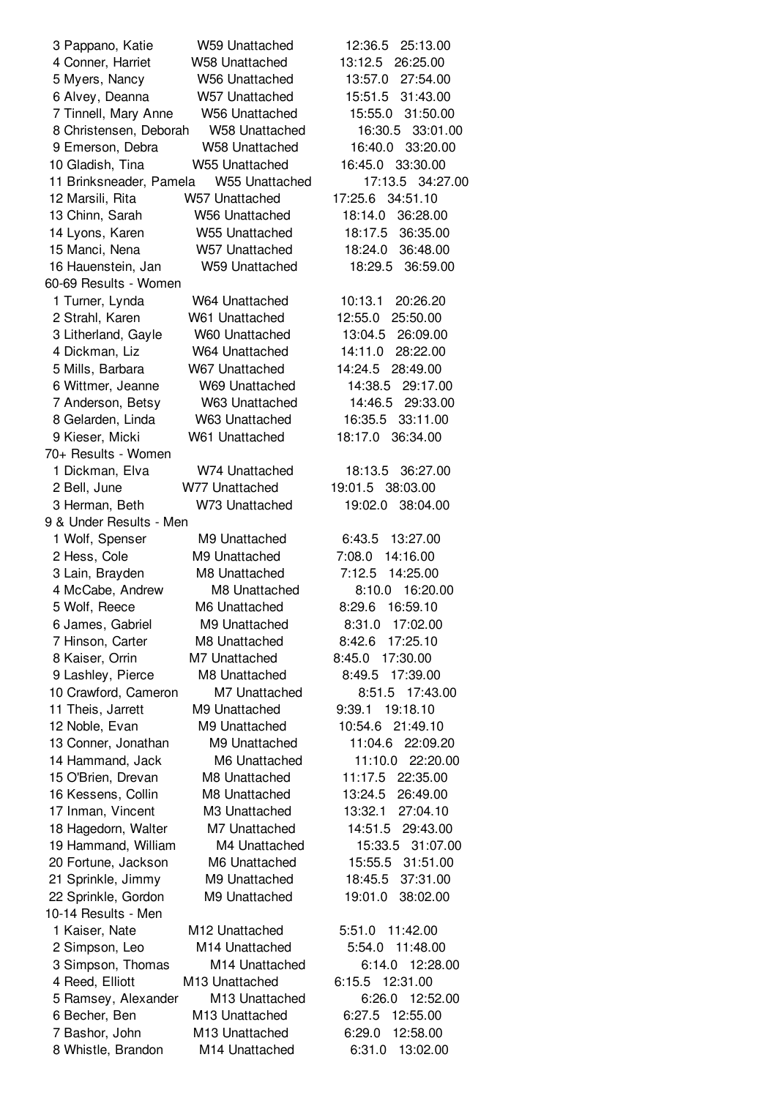| 3 Pappano, Katie        | W59 Unattached             | 12:36.5<br>25:13.00 |
|-------------------------|----------------------------|---------------------|
| 4 Conner, Harriet       | <b>W58 Unattached</b>      | 13:12.5<br>26:25.00 |
| 5 Myers, Nancy          | W56 Unattached             | 27:54.00<br>13:57.0 |
| 6 Alvey, Deanna         | W57 Unattached             | 15:51.5<br>31:43.00 |
| 7 Tinnell, Mary Anne    | <b>W56 Unattached</b>      | 31:50.00<br>15:55.0 |
| 8 Christensen, Deborah  | <b>W58 Unattached</b>      | 33:01.00<br>16:30.5 |
| 9 Emerson, Debra        | <b>W58 Unattached</b>      | 16:40.0<br>33:20.00 |
| 10 Gladish, Tina        | <b>W55 Unattached</b>      | 33:30.00<br>16:45.0 |
| 11 Brinksneader, Pamela | W55 Unattached             | 17:13.5 34:27.00    |
| 12 Marsili, Rita        | W57 Unattached             | 17:25.6 34:51.10    |
| 13 Chinn, Sarah         | <b>W56 Unattached</b>      | 18:14.0<br>36:28.00 |
| 14 Lyons, Karen         | W55 Unattached             | 36:35.00<br>18:17.5 |
| 15 Manci, Nena          | W57 Unattached             | 18:24.0<br>36:48.00 |
| 16 Hauenstein, Jan      | <b>W59 Unattached</b>      | 18:29.5<br>36:59.00 |
| 60-69 Results - Women   |                            |                     |
| 1 Turner, Lynda         | W64 Unattached             | 10:13.1<br>20:26.20 |
| 2 Strahl, Karen         | W61 Unattached             | 25:50.00<br>12:55.0 |
| 3 Litherland, Gayle     | W60 Unattached             | 13:04.5<br>26:09.00 |
| 4 Dickman, Liz          | W64 Unattached             | 28:22.00<br>14:11.0 |
| 5 Mills, Barbara        | W67 Unattached             | 14:24.5<br>28:49.00 |
| 6 Wittmer, Jeanne       | W69 Unattached             | 14:38.5<br>29:17.00 |
| 7 Anderson, Betsy       | W63 Unattached             | 14:46.5<br>29:33.00 |
| 8 Gelarden, Linda       | W63 Unattached             | 33:11.00<br>16:35.5 |
| 9 Kieser, Micki         | W61 Unattached             | 18:17.0<br>36:34.00 |
| 70+ Results - Women     |                            |                     |
| 1 Dickman, Elva         | W74 Unattached             | 18:13.5<br>36:27.00 |
| 2 Bell, June            | W77 Unattached             | 19:01.5 38:03.00    |
| 3 Herman, Beth          | W73 Unattached             | 19:02.0<br>38:04.00 |
| 9 & Under Results - Men |                            |                     |
| 1 Wolf, Spenser         | M9 Unattached              | 6:43.5<br>13:27.00  |
| 2 Hess, Cole            | M9 Unattached              | 14:16.00<br>7:08.0  |
| 3 Lain, Brayden         | M8 Unattached              | 7:12.5<br>14:25.00  |
| 4 McCabe, Andrew        | M8 Unattached              | 16:20.00<br>8:10.0  |
| 5 Wolf, Reece           | M6 Unattached              | 16:59.10<br>8:29.6  |
| 6 James, Gabriel        | M9 Unattached              | 8:31.0 17:02.00     |
| 7 Hinson, Carter        | M8 Unattached              | 17:25.10<br>8:42.6  |
| 8 Kaiser, Orrin         | M7 Unattached              | 8:45.0 17:30.00     |
| 9 Lashley, Pierce       | M8 Unattached              | 8:49.5<br>17:39.00  |
| 10 Crawford, Cameron    | M7 Unattached              | 17:43.00<br>8:51.5  |
| 11 Theis, Jarrett       | M9 Unattached              | 9:39.1<br>19:18.10  |
| 12 Noble, Evan          | M9 Unattached              | 10:54.6<br>21:49.10 |
| 13 Conner, Jonathan     | M9 Unattached              | 11:04.6<br>22:09.20 |
| 14 Hammand, Jack        | M6 Unattached              | 11:10.0 22:20.00    |
| 15 O'Brien, Drevan      | M8 Unattached              | 11:17.5<br>22:35.00 |
| 16 Kessens, Collin      | M8 Unattached              | 13:24.5<br>26:49.00 |
| 17 Inman, Vincent       | M3 Unattached              | 27:04.10<br>13:32.1 |
| 18 Hagedorn, Walter     | M7 Unattached              | 14:51.5 29:43.00    |
| 19 Hammand, William     | M4 Unattached              | 15:33.5 31:07.00    |
| 20 Fortune, Jackson     | M6 Unattached              | 15:55.5 31:51.00    |
| 21 Sprinkle, Jimmy      | M9 Unattached              | 18:45.5<br>37:31.00 |
| 22 Sprinkle, Gordon     | M9 Unattached              | 19:01.0<br>38:02.00 |
| 10-14 Results - Men     |                            |                     |
| 1 Kaiser, Nate          | M12 Unattached             | 5:51.0 11:42.00     |
| 2 Simpson, Leo          | M14 Unattached             | 5:54.0<br>11:48.00  |
| 3 Simpson, Thomas       | M <sub>14</sub> Unattached | 6:14.0<br>12:28.00  |
| 4 Reed, Elliott         | M13 Unattached             | 6:15.5<br>12:31.00  |
| 5 Ramsey, Alexander     | M13 Unattached             | 6:26.0<br>12:52.00  |
| 6 Becher, Ben           | M13 Unattached             | 6:27.5<br>12:55.00  |
| 7 Bashor, John          | M13 Unattached             | 12:58.00<br>6:29.0  |
| 8 Whistle, Brandon      | M14 Unattached             | 6:31.0<br>13:02.00  |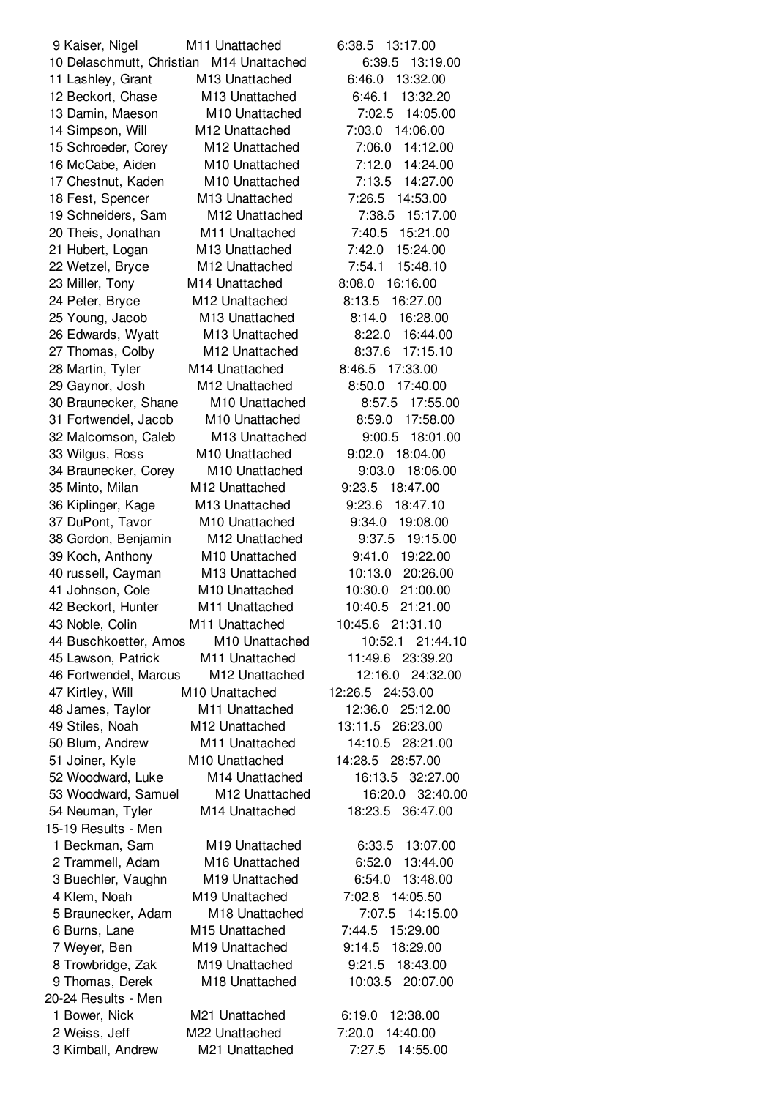Kaiser, Nigel M11 Unattached 6:38.5 13:17.00 Delaschmutt, Christian M14 Unattached 6:39.5 13:19.00 Lashley, Grant M13 Unattached 6:46.0 13:32.00 Beckort, Chase M13 Unattached 6:46.1 13:32.20 Damin, Maeson M10 Unattached 7:02.5 14:05.00 Simpson, Will M12 Unattached 7:03.0 14:06.00 Schroeder, Corey M12 Unattached 7:06.0 14:12.00 McCabe, Aiden M10 Unattached 7:12.0 14:24.00 Chestnut, Kaden M10 Unattached 7:13.5 14:27.00 Fest, Spencer M13 Unattached 7:26.5 14:53.00 Schneiders, Sam M12 Unattached 7:38.5 15:17.00 Theis, Jonathan M11 Unattached 7:40.5 15:21.00 Hubert, Logan M13 Unattached 7:42.0 15:24.00 Wetzel, Bryce M12 Unattached 7:54.1 15:48.10 Miller, Tony M14 Unattached 8:08.0 16:16.00 Peter, Bryce M12 Unattached 8:13.5 16:27.00 Young, Jacob M13 Unattached 8:14.0 16:28.00 Edwards, Wyatt M13 Unattached 8:22.0 16:44.00 Thomas, Colby M12 Unattached 8:37.6 17:15.10 Martin, Tyler M14 Unattached 8:46.5 17:33.00 Gaynor, Josh M12 Unattached 8:50.0 17:40.00 Braunecker, Shane M10 Unattached 8:57.5 17:55.00 Fortwendel, Jacob M10 Unattached 8:59.0 17:58.00 Malcomson, Caleb M13 Unattached 9:00.5 18:01.00 Wilgus, Ross M10 Unattached 9:02.0 18:04.00 Braunecker, Corey M10 Unattached 9:03.0 18:06.00 Minto, Milan M12 Unattached 9:23.5 18:47.00 Kiplinger, Kage M13 Unattached 9:23.6 18:47.10 DuPont, Tavor M10 Unattached 9:34.0 19:08.00 Gordon, Benjamin M12 Unattached 9:37.5 19:15.00 Koch, Anthony M10 Unattached 9:41.0 19:22.00 russell, Cayman M13 Unattached 10:13.0 20:26.00 Johnson, Cole M10 Unattached 10:30.0 21:00.00 Beckort, Hunter M11 Unattached 10:40.5 21:21.00 Noble, Colin M11 Unattached 10:45.6 21:31.10 Buschkoetter, Amos M10 Unattached 10:52.1 21:44.10 Lawson, Patrick M11 Unattached 11:49.6 23:39.20 Fortwendel, Marcus M12 Unattached 12:16.0 24:32.00 Kirtley, Will M10 Unattached 12:26.5 24:53.00 James, Taylor M11 Unattached 12:36.0 25:12.00 Stiles, Noah M12 Unattached 13:11.5 26:23.00 Blum, Andrew M11 Unattached 14:10.5 28:21.00 Joiner, Kyle M10 Unattached 14:28.5 28:57.00 Woodward, Luke M14 Unattached 16:13.5 32:27.00 Woodward, Samuel M12 Unattached 16:20.0 32:40.00 Neuman, Tyler M14 Unattached 18:23.5 36:47.00 15-19 Results - Men Beckman, Sam M19 Unattached 6:33.5 13:07.00 Trammell, Adam M16 Unattached 6:52.0 13:44.00 Buechler, Vaughn M19 Unattached 6:54.0 13:48.00 Klem, Noah M19 Unattached 7:02.8 14:05.50 Braunecker, Adam M18 Unattached 7:07.5 14:15.00 Burns, Lane M15 Unattached 7:44.5 15:29.00 Weyer, Ben M19 Unattached 9:14.5 18:29.00 Trowbridge, Zak M19 Unattached 9:21.5 18:43.00 Thomas, Derek M18 Unattached 10:03.5 20:07.00 20-24 Results - Men Bower, Nick M21 Unattached 6:19.0 12:38.00 Weiss, Jeff M22 Unattached 7:20.0 14:40.00 Kimball, Andrew M21 Unattached 7:27.5 14:55.00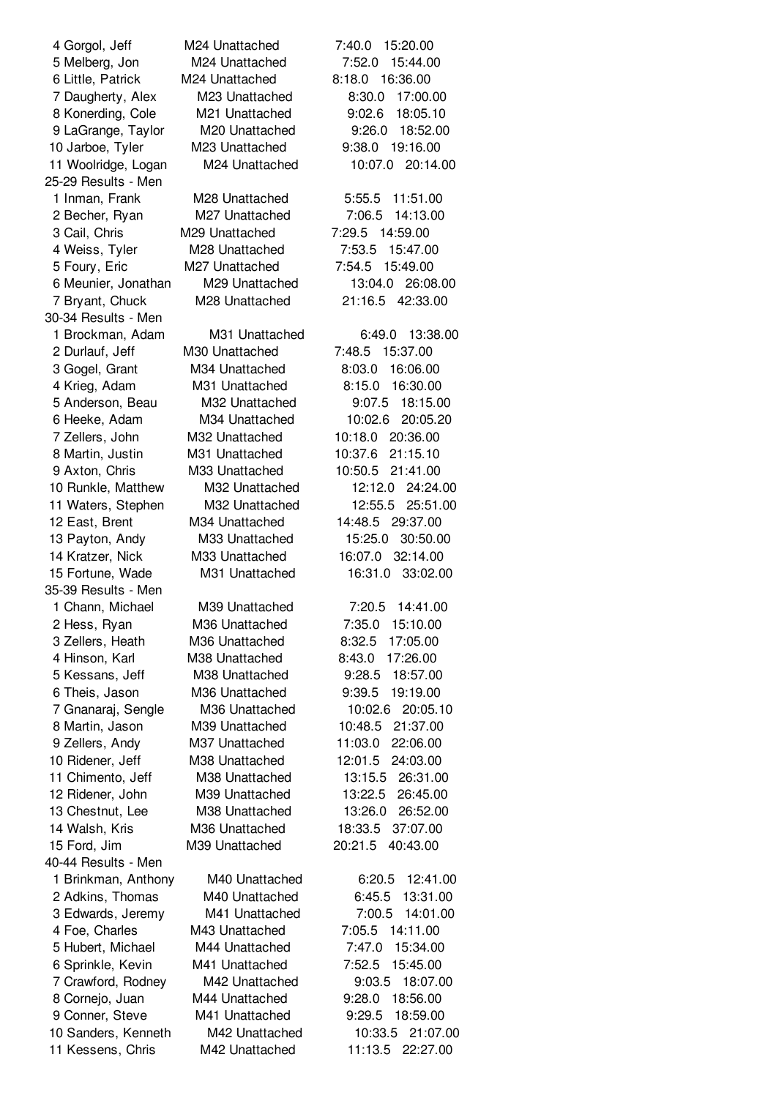| 4 Gorgol, Jeff      | M24 Unattached | 15:20.00<br>7:40.0  |
|---------------------|----------------|---------------------|
| 5 Melberg, Jon      | M24 Unattached | 7:52.0<br>15:44.00  |
| 6 Little, Patrick   | M24 Unattached | 8:18.0<br>16:36.00  |
| 7 Daugherty, Alex   | M23 Unattached | 17:00.00<br>8:30.0  |
| 8 Konerding, Cole   | M21 Unattached | 9:02.6<br>18:05.10  |
| 9 LaGrange, Taylor  | M20 Unattached | 9:26.0 18:52.00     |
| 10 Jarboe, Tyler    | M23 Unattached | 19:16.00<br>9:38.0  |
| 11 Woolridge, Logan | M24 Unattached | 10:07.0<br>20:14.00 |
| 25-29 Results - Men |                |                     |
| 1 Inman, Frank      | M28 Unattached | 11:51.00<br>5:55.5  |
|                     | M27 Unattached | 14:13.00<br>7:06.5  |
| 2 Becher, Ryan      |                |                     |
| 3 Cail, Chris       | M29 Unattached | 7:29.5 14:59.00     |
| 4 Weiss, Tyler      | M28 Unattached | 7:53.5<br>15:47.00  |
| 5 Foury, Eric       | M27 Unattached | 15:49.00<br>7:54.5  |
| 6 Meunier, Jonathan | M29 Unattached | 13:04.0<br>26:08.00 |
| 7 Bryant, Chuck     | M28 Unattached | 21:16.5 42:33.00    |
| 30-34 Results - Men |                |                     |
| 1 Brockman, Adam    | M31 Unattached | 13:38.00<br>6:49.0  |
| 2 Durlauf, Jeff     | M30 Unattached | 7:48.5<br>15:37.00  |
| 3 Gogel, Grant      | M34 Unattached | 16:06.00<br>8:03.0  |
| 4 Krieg, Adam       | M31 Unattached | 16:30.00<br>8:15.0  |
| 5 Anderson, Beau    | M32 Unattached | 18:15.00<br>9:07.5  |
| 6 Heeke, Adam       | M34 Unattached | 10:02.6<br>20:05.20 |
| 7 Zellers, John     | M32 Unattached | 10:18.0<br>20:36.00 |
| 8 Martin, Justin    | M31 Unattached | 10:37.6<br>21:15.10 |
| 9 Axton, Chris      | M33 Unattached | 10:50.5<br>21:41.00 |
| 10 Runkle, Matthew  | M32 Unattached | 12:12.0<br>24:24.00 |
| 11 Waters, Stephen  | M32 Unattached | 12:55.5<br>25:51.00 |
| 12 East, Brent      | M34 Unattached | 14:48.5<br>29:37.00 |
|                     | M33 Unattached | 15:25.0<br>30:50.00 |
| 13 Payton, Andy     |                | 32:14.00            |
| 14 Kratzer, Nick    | M33 Unattached | 16:07.0             |
| 15 Fortune, Wade    | M31 Unattached | 16:31.0<br>33:02.00 |
| 35-39 Results - Men |                |                     |
| 1 Chann, Michael    | M39 Unattached | 7:20.5<br>14:41.00  |
| 2 Hess, Ryan        | M36 Unattached | 7:35.0 15:10.00     |
| 3 Zellers, Heath    | M36 Unattached | 17:05.00<br>8:32.5  |
| 4 Hinson, Karl      | M38 Unattached | 8:43.0<br>17:26.00  |
| 5 Kessans, Jeff     | M38 Unattached | 9:28.5<br>18:57.00  |
| 6 Theis, Jason      | M36 Unattached | 19:19.00<br>9:39.5  |
| 7 Gnanaraj, Sengle  | M36 Unattached | 10:02.6<br>20:05.10 |
| 8 Martin, Jason     | M39 Unattached | 10:48.5 21:37.00    |
| 9 Zellers, Andy     | M37 Unattached | 11:03.0<br>22:06.00 |
| 10 Ridener, Jeff    | M38 Unattached | 12:01.5<br>24:03.00 |
| 11 Chimento, Jeff   | M38 Unattached | 13:15.5<br>26:31.00 |
| 12 Ridener, John    | M39 Unattached | 13:22.5<br>26:45.00 |
| 13 Chestnut, Lee    | M38 Unattached | 26:52.00<br>13:26.0 |
| 14 Walsh, Kris      | M36 Unattached | 18:33.5<br>37:07.00 |
| 15 Ford, Jim        | M39 Unattached | 20:21.5<br>40:43.00 |
| 40-44 Results - Men |                |                     |
| 1 Brinkman, Anthony | M40 Unattached | 12:41.00<br>6:20.5  |
| 2 Adkins, Thomas    | M40 Unattached | 6:45.5<br>13:31.00  |
|                     |                |                     |
| 3 Edwards, Jeremy   | M41 Unattached | 7:00.5<br>14:01.00  |
| 4 Foe, Charles      | M43 Unattached | 7:05.5<br>14:11.00  |
| 5 Hubert, Michael   | M44 Unattached | 7:47.0<br>15:34.00  |
| 6 Sprinkle, Kevin   | M41 Unattached | 7:52.5<br>15:45.00  |
| 7 Crawford, Rodney  | M42 Unattached | 18:07.00<br>9:03.5  |
| 8 Cornejo, Juan     | M44 Unattached | 18:56.00<br>9:28.0  |
| 9 Conner, Steve     | M41 Unattached | 9:29.5<br>18:59.00  |
| 10 Sanders, Kenneth | M42 Unattached | 10:33.5<br>21:07.00 |
| 11 Kessens, Chris   | M42 Unattached | 11:13.5<br>22:27.00 |